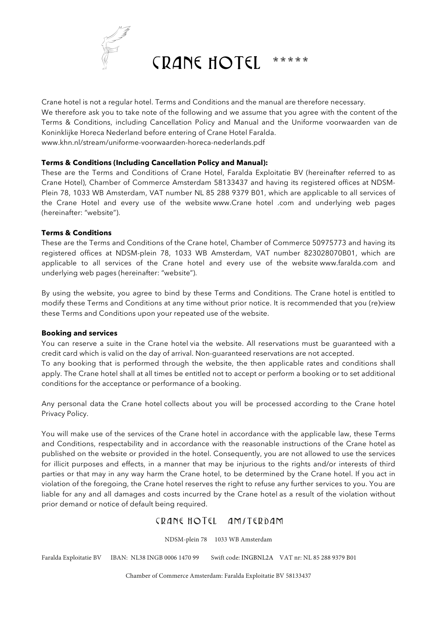

Crane hotel is not a regular hotel. Terms and Conditions and the manual are therefore necessary. We therefore ask you to take note of the following and we assume that you agree with the content of the Terms & Conditions, including Cancellation Policy and Manual and the Uniforme voorwaarden van de Koninklijke Horeca Nederland before entering of Crane Hotel Faralda. www.khn.nl/stream/uniforme-voorwaarden-horeca-nederlands.pdf

#### **Terms & Conditions (Including Cancellation Policy and Manual):**

These are the Terms and Conditions of Crane Hotel, Faralda Exploitatie BV (hereinafter referred to as Crane Hotel), Chamber of Commerce Amsterdam 58133437 and having its registered offices at NDSM-Plein 78, 1033 WB Amsterdam, VAT number NL 85 288 9379 B01, which are applicable to all services of the Crane Hotel and every use of the website www.Crane hotel .com and underlying web pages (hereinafter: "website").

#### **Terms & Conditions**

These are the Terms and Conditions of the Crane hotel, Chamber of Commerce 50975773 and having its registered offices at NDSM-plein 78, 1033 WB Amsterdam, VAT number 823028070B01, which are applicable to all services of the Crane hotel and every use of the website www.faralda.com and underlying web pages (hereinafter: "website").

By using the website, you agree to bind by these Terms and Conditions. The Crane hotel is entitled to modify these Terms and Conditions at any time without prior notice. It is recommended that you (re)view these Terms and Conditions upon your repeated use of the website.

#### **Booking and services**

You can reserve a suite in the Crane hotel via the website. All reservations must be guaranteed with a credit card which is valid on the day of arrival. Non-guaranteed reservations are not accepted. To any booking that is performed through the website, the then applicable rates and conditions shall apply. The Crane hotel shall at all times be entitled not to accept or perform a booking or to set additional conditions for the acceptance or performance of a booking.

Any personal data the Crane hotel collects about you will be processed according to the Crane hotel Privacy Policy.

You will make use of the services of the Crane hotel in accordance with the applicable law, these Terms and Conditions, respectability and in accordance with the reasonable instructions of the Crane hotel as published on the website or provided in the hotel. Consequently, you are not allowed to use the services for illicit purposes and effects, in a manner that may be injurious to the rights and/or interests of third parties or that may in any way harm the Crane hotel, to be determined by the Crane hotel. If you act in violation of the foregoing, the Crane hotel reserves the right to refuse any further services to you. You are liable for any and all damages and costs incurred by the Crane hotel as a result of the violation without prior demand or notice of default being required.

## CRANE HOTEL AMITERDAM

NDSM-plein 78 1033 WB Amsterdam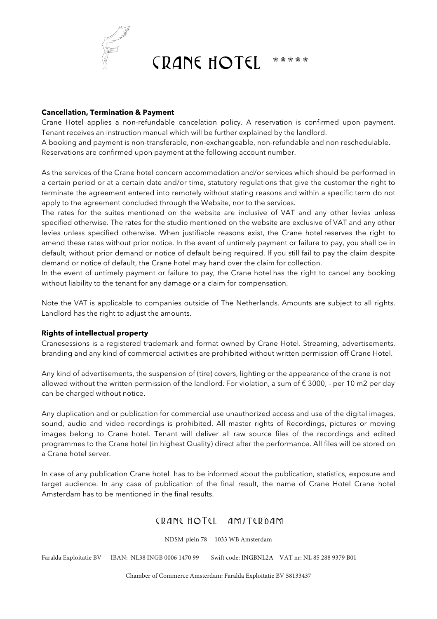

### **Cancellation, Termination & Payment**

Crane Hotel applies a non-refundable cancelation policy. A reservation is confirmed upon payment. Tenant receives an instruction manual which will be further explained by the landlord.

A booking and payment is non-transferable, non-exchangeable, non-refundable and non reschedulable. Reservations are confirmed upon payment at the following account number.

As the services of the Crane hotel concern accommodation and/or services which should be performed in a certain period or at a certain date and/or time, statutory regulations that give the customer the right to terminate the agreement entered into remotely without stating reasons and within a specific term do not apply to the agreement concluded through the Website, nor to the services.

The rates for the suites mentioned on the website are inclusive of VAT and any other levies unless specified otherwise. The rates for the studio mentioned on the website are exclusive of VAT and any other levies unless specified otherwise. When justifiable reasons exist, the Crane hotel reserves the right to amend these rates without prior notice. In the event of untimely payment or failure to pay, you shall be in default, without prior demand or notice of default being required. If you still fail to pay the claim despite demand or notice of default, the Crane hotel may hand over the claim for collection.

In the event of untimely payment or failure to pay, the Crane hotel has the right to cancel any booking without liability to the tenant for any damage or a claim for compensation.

Note the VAT is applicable to companies outside of The Netherlands. Amounts are subject to all rights. Landlord has the right to adjust the amounts.

### **Rights of intellectual property**

Cranesessions is a registered trademark and format owned by Crane Hotel. Streaming, advertisements, branding and any kind of commercial activities are prohibited without written permission off Crane Hotel.

Any kind of advertisements, the suspension of (tire) covers, lighting or the appearance of the crane is not allowed without the written permission of the landlord. For violation, a sum of  $\epsilon$  3000, - per 10 m2 per day can be charged without notice.

Any duplication and or publication for commercial use unauthorized access and use of the digital images, sound, audio and video recordings is prohibited. All master rights of Recordings, pictures or moving images belong to Crane hotel. Tenant will deliver all raw source files of the recordings and edited programmes to the Crane hotel (in highest Quality) direct after the performance. All files will be stored on a Crane hotel server.

In case of any publication Crane hotel has to be informed about the publication, statistics, exposure and target audience. In any case of publication of the final result, the name of Crane Hotel Crane hotel Amsterdam has to be mentioned in the final results.

# CRANE HOTEL AMITERDAM

NDSM-plein 78 1033 WB Amsterdam

Faralda Exploitatie BV IBAN: NL38 INGB 0006 1470 99 Swift code: INGBNL2A VAT nr: NL 85 288 9379 B01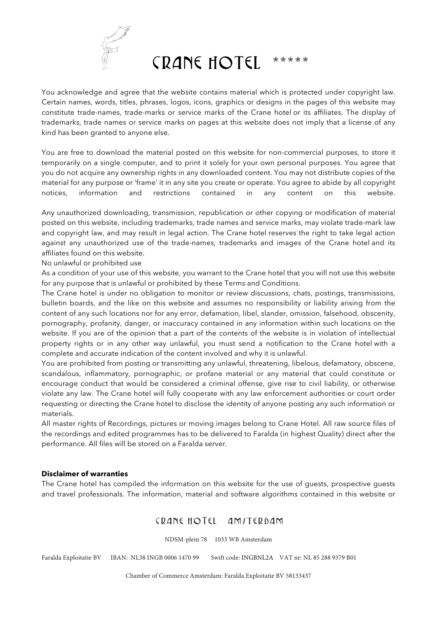

You acknowledge and agree that the website contains material which is protected under copyright law. Certain names, words, titles, phrases, logos, icons, graphics or designs in the pages of this website may constitute trade-names, trade-marks or service marks of the Crane hotel or its affiliates. The display of trademarks, trade names or service marks on pages at this website does not imply that a license of any kind has been granted to anyone else.

You are free to download the material posted on this website for non-commercial purposes, to store it temporarily on a single computer, and to print it solely for your own personal purposes. You agree that you do not acquire any ownership rights in any downloaded content. You may not distribute copies of the material for any purpose or 'frame' it in any site you create or operate. You agree to abide by all copyright notices, information and restrictions contained in any content on this website.

Any unauthorized downloading, transmission, republication or other copying or modification of material posted on this website, including trademarks, trade names and service marks, may violate trade-mark law and copyright law, and may result in legal action. The Crane hotel reserves the right to take legal action against any unauthorized use of the trade-names, trademarks and images of the Crane hotel and its affiliates found on this website.

No unlawful or prohibited use

As a condition of your use of this website, you warrant to the Crane hotel that you will not use this website for any purpose that is unlawful or prohibited by these Terms and Conditions.

The Crane hotel is under no obligation to monitor or review discussions, chats, postings, transmissions, bulletin boards, and the like on this website and assumes no responsibility or liability arising from the content of any such locations nor for any error, defamation, libel, slander, omission, falsehood, obscenity, pornography, profanity, danger, or inaccuracy contained in any information within such locations on the website. If you are of the opinion that a part of the contents of the website is in violation of intellectual property rights or in any other way unlawful, you must send a notification to the Crane hotel with a complete and accurate indication of the content involved and why it is unlawful.

You are prohibited from posting or transmitting any unlawful, threatening, libelous, defamatory, obscene, scandalous, inflammatory, pornographic, or profane material or any material that could constitute or encourage conduct that would be considered a criminal offense, give rise to civil liability, or otherwise violate any law. The Crane hotel will fully cooperate with any law enforcement authorities or court order requesting or directing the Crane hotel to disclose the identity of anyone posting any such information or materials.

All master rights of Recordings, pictures or moving images belong to Crane Hotel. All raw source files of the recordings and edited programmes has to be delivered to Faralda (in highest Quality) direct after the performance. All files will be stored on a Faralda server.

### **Disclaimer of warranties**

The Crane hotel has compiled the information on this website for the use of guests, prospective guests and travel professionals. The information, material and software algorithms contained in this website or

# CRANE HOTEL AMITERDAM

NDSM-plein 78 1033 WB Amsterdam

Faralda Exploitatie BV IBAN: NL38 INGB 0006 1470 99 Swift code: INGBNL2A VAT nr: NL 85 288 9379 B01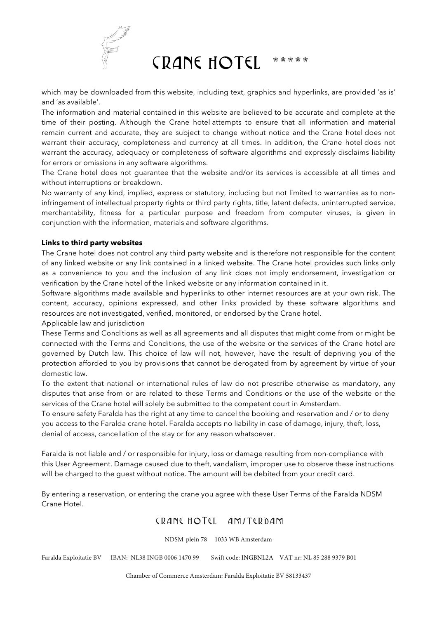

which may be downloaded from this website, including text, graphics and hyperlinks, are provided 'as is' and 'as available'.

The information and material contained in this website are believed to be accurate and complete at the time of their posting. Although the Crane hotel attempts to ensure that all information and material remain current and accurate, they are subject to change without notice and the Crane hotel does not warrant their accuracy, completeness and currency at all times. In addition, the Crane hotel does not warrant the accuracy, adequacy or completeness of software algorithms and expressly disclaims liability for errors or omissions in any software algorithms.

The Crane hotel does not guarantee that the website and/or its services is accessible at all times and without interruptions or breakdown.

No warranty of any kind, implied, express or statutory, including but not limited to warranties as to noninfringement of intellectual property rights or third party rights, title, latent defects, uninterrupted service, merchantability, fitness for a particular purpose and freedom from computer viruses, is given in conjunction with the information, materials and software algorithms.

## **Links to third party websites**

The Crane hotel does not control any third party website and is therefore not responsible for the content of any linked website or any link contained in a linked website. The Crane hotel provides such links only as a convenience to you and the inclusion of any link does not imply endorsement, investigation or verification by the Crane hotel of the linked website or any information contained in it.

Software algorithms made available and hyperlinks to other internet resources are at your own risk. The content, accuracy, opinions expressed, and other links provided by these software algorithms and resources are not investigated, verified, monitored, or endorsed by the Crane hotel.

Applicable law and jurisdiction

These Terms and Conditions as well as all agreements and all disputes that might come from or might be connected with the Terms and Conditions, the use of the website or the services of the Crane hotel are governed by Dutch law. This choice of law will not, however, have the result of depriving you of the protection afforded to you by provisions that cannot be derogated from by agreement by virtue of your domestic law.

To the extent that national or international rules of law do not prescribe otherwise as mandatory, any disputes that arise from or are related to these Terms and Conditions or the use of the website or the services of the Crane hotel will solely be submitted to the competent court in Amsterdam.

To ensure safety Faralda has the right at any time to cancel the booking and reservation and / or to deny you access to the Faralda crane hotel. Faralda accepts no liability in case of damage, injury, theft, loss, denial of access, cancellation of the stay or for any reason whatsoever.

Faralda is not liable and / or responsible for injury, loss or damage resulting from non-compliance with this User Agreement. Damage caused due to theft, vandalism, improper use to observe these instructions will be charged to the guest without notice. The amount will be debited from your credit card.

By entering a reservation, or entering the crane you agree with these User Terms of the Faralda NDSM Crane Hotel.

# CRANE HOTEL AMITERDAM

NDSM-plein 78 1033 WB Amsterdam

Faralda Exploitatie BV IBAN: NL38 INGB 0006 1470 99 Swift code: INGBNL2A VAT nr: NL 85 288 9379 B01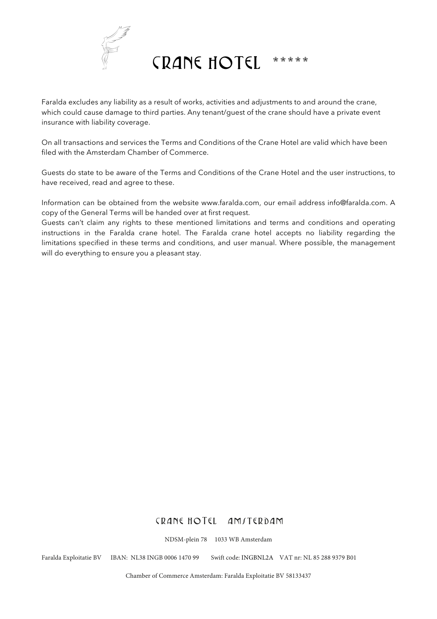

Faralda excludes any liability as a result of works, activities and adjustments to and around the crane, which could cause damage to third parties. Any tenant/guest of the crane should have a private event insurance with liability coverage.

On all transactions and services the Terms and Conditions of the Crane Hotel are valid which have been filed with the Amsterdam Chamber of Commerce.

Guests do state to be aware of the Terms and Conditions of the Crane Hotel and the user instructions, to have received, read and agree to these.

Information can be obtained from the website www.faralda.com, our email address info@faralda.com. A copy of the General Terms will be handed over at first request.

Guests can't claim any rights to these mentioned limitations and terms and conditions and operating instructions in the Faralda crane hotel. The Faralda crane hotel accepts no liability regarding the limitations specified in these terms and conditions, and user manual. Where possible, the management will do everything to ensure you a pleasant stay.

## CRANE HOTEL AMITERDAM

NDSM-plein 78 1033 WB Amsterdam

Faralda Exploitatie BV IBAN: NL38 INGB 0006 1470 99 Swift code: INGBNL2A VAT nr: NL 85 288 9379 B01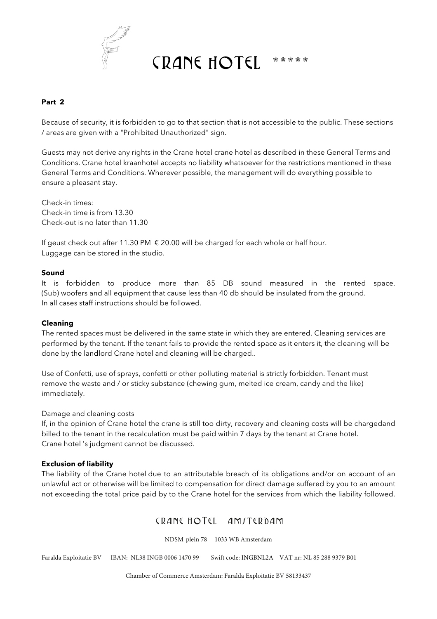

## **Part 2**

Because of security, it is forbidden to go to that section that is not accessible to the public. These sections / areas are given with a "Prohibited Unauthorized" sign.

Guests may not derive any rights in the Crane hotel crane hotel as described in these General Terms and Conditions. Crane hotel kraanhotel accepts no liability whatsoever for the restrictions mentioned in these General Terms and Conditions. Wherever possible, the management will do everything possible to ensure a pleasant stay.

Check-in times: Check-in time is from 13.30 Check-out is no later than 11.30

If geust check out after 11.30 PM  $\epsilon$  20.00 will be charged for each whole or half hour. Luggage can be stored in the studio.

### **Sound**

It is forbidden to produce more than 85 DB sound measured in the rented space. (Sub) woofers and all equipment that cause less than 40 db should be insulated from the ground. In all cases staff instructions should be followed.

### **Cleaning**

The rented spaces must be delivered in the same state in which they are entered. Cleaning services are performed by the tenant. If the tenant fails to provide the rented space as it enters it, the cleaning will be done by the landlord Crane hotel and cleaning will be charged..

Use of Confetti, use of sprays, confetti or other polluting material is strictly forbidden. Tenant must remove the waste and / or sticky substance (chewing gum, melted ice cream, candy and the like) immediately.

#### Damage and cleaning costs

If, in the opinion of Crane hotel the crane is still too dirty, recovery and cleaning costs will be chargedand billed to the tenant in the recalculation must be paid within 7 days by the tenant at Crane hotel. Crane hotel 's judgment cannot be discussed.

#### **Exclusion of liability**

The liability of the Crane hotel due to an attributable breach of its obligations and/or on account of an unlawful act or otherwise will be limited to compensation for direct damage suffered by you to an amount not exceeding the total price paid by to the Crane hotel for the services from which the liability followed.

## CRANE HOTEL AMITERDAM

NDSM-plein 78 1033 WB Amsterdam

Faralda Exploitatie BV IBAN: NL38 INGB 0006 1470 99 Swift code: INGBNL2A VAT nr: NL 85 288 9379 B01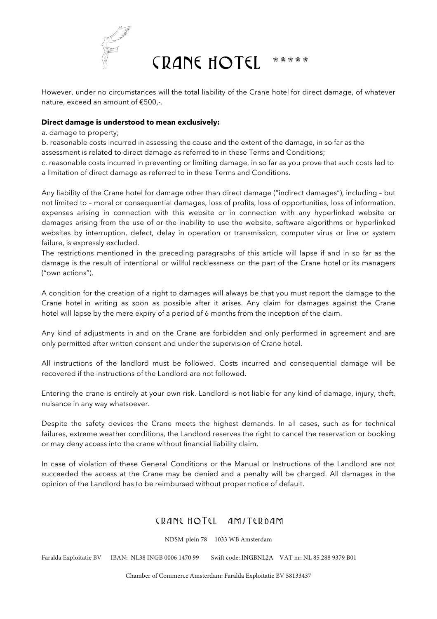

However, under no circumstances will the total liability of the Crane hotel for direct damage, of whatever nature, exceed an amount of €500,-.

### **Direct damage is understood to mean exclusively:**

a. damage to property;

b. reasonable costs incurred in assessing the cause and the extent of the damage, in so far as the assessment is related to direct damage as referred to in these Terms and Conditions;

c. reasonable costs incurred in preventing or limiting damage, in so far as you prove that such costs led to a limitation of direct damage as referred to in these Terms and Conditions.

Any liability of the Crane hotel for damage other than direct damage ("indirect damages"), including – but not limited to – moral or consequential damages, loss of profits, loss of opportunities, loss of information, expenses arising in connection with this website or in connection with any hyperlinked website or damages arising from the use of or the inability to use the website, software algorithms or hyperlinked websites by interruption, defect, delay in operation or transmission, computer virus or line or system failure, is expressly excluded.

The restrictions mentioned in the preceding paragraphs of this article will lapse if and in so far as the damage is the result of intentional or willful recklessness on the part of the Crane hotel or its managers ("own actions").

A condition for the creation of a right to damages will always be that you must report the damage to the Crane hotel in writing as soon as possible after it arises. Any claim for damages against the Crane hotel will lapse by the mere expiry of a period of 6 months from the inception of the claim.

Any kind of adjustments in and on the Crane are forbidden and only performed in agreement and are only permitted after written consent and under the supervision of Crane hotel.

All instructions of the landlord must be followed. Costs incurred and consequential damage will be recovered if the instructions of the Landlord are not followed.

Entering the crane is entirely at your own risk. Landlord is not liable for any kind of damage, injury, theft, nuisance in any way whatsoever.

Despite the safety devices the Crane meets the highest demands. In all cases, such as for technical failures, extreme weather conditions, the Landlord reserves the right to cancel the reservation or booking or may deny access into the crane without financial liability claim.

In case of violation of these General Conditions or the Manual or Instructions of the Landlord are not succeeded the access at the Crane may be denied and a penalty will be charged. All damages in the opinion of the Landlord has to be reimbursed without proper notice of default.

# CRANE HOTEL AMITERDAM

NDSM-plein 78 1033 WB Amsterdam

Faralda Exploitatie BV IBAN: NL38 INGB 0006 1470 99 Swift code: INGBNL2A VAT nr: NL 85 288 9379 B01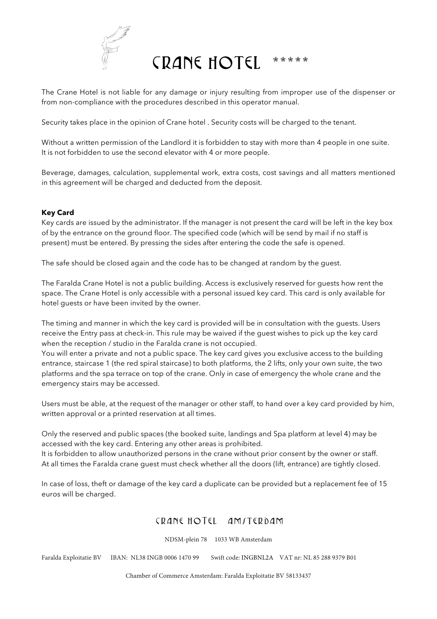

The Crane Hotel is not liable for any damage or injury resulting from improper use of the dispenser or from non-compliance with the procedures described in this operator manual.

Security takes place in the opinion of Crane hotel . Security costs will be charged to the tenant.

Without a written permission of the Landlord it is forbidden to stay with more than 4 people in one suite. It is not forbidden to use the second elevator with 4 or more people.

Beverage, damages, calculation, supplemental work, extra costs, cost savings and all matters mentioned in this agreement will be charged and deducted from the deposit.

## **Key Card**

Key cards are issued by the administrator. If the manager is not present the card will be left in the key box of by the entrance on the ground floor. The specified code (which will be send by mail if no staff is present) must be entered. By pressing the sides after entering the code the safe is opened.

The safe should be closed again and the code has to be changed at random by the guest.

The Faralda Crane Hotel is not a public building. Access is exclusively reserved for guests how rent the space. The Crane Hotel is only accessible with a personal issued key card. This card is only available for hotel guests or have been invited by the owner.

The timing and manner in which the key card is provided will be in consultation with the guests. Users receive the Entry pass at check-in. This rule may be waived if the guest wishes to pick up the key card when the reception / studio in the Faralda crane is not occupied.

You will enter a private and not a public space. The key card gives you exclusive access to the building entrance, staircase 1 (the red spiral staircase) to both platforms, the 2 lifts, only your own suite, the two platforms and the spa terrace on top of the crane. Only in case of emergency the whole crane and the emergency stairs may be accessed.

Users must be able, at the request of the manager or other staff, to hand over a key card provided by him, written approval or a printed reservation at all times.

Only the reserved and public spaces (the booked suite, landings and Spa platform at level 4) may be accessed with the key card. Entering any other areas is prohibited. It is forbidden to allow unauthorized persons in the crane without prior consent by the owner or staff. At all times the Faralda crane guest must check whether all the doors (lift, entrance) are tightly closed.

In case of loss, theft or damage of the key card a duplicate can be provided but a replacement fee of 15 euros will be charged.

# CRANE HOTEL AMITERDAM

NDSM-plein 78 1033 WB Amsterdam

Faralda Exploitatie BV IBAN: NL38 INGB 0006 1470 99 Swift code: INGBNL2A VAT nr: NL 85 288 9379 B01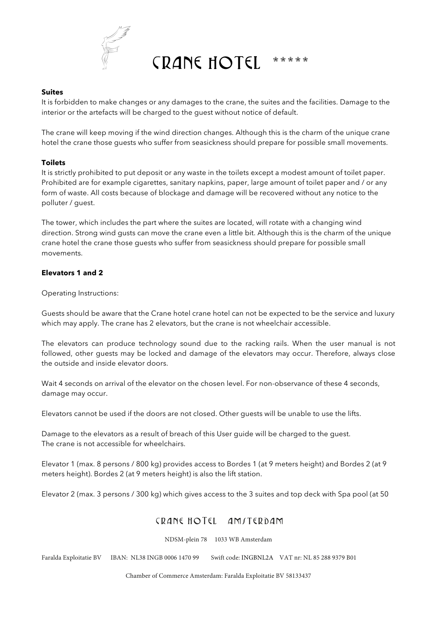

### **Suites**

It is forbidden to make changes or any damages to the crane, the suites and the facilities. Damage to the interior or the artefacts will be charged to the guest without notice of default.

The crane will keep moving if the wind direction changes. Although this is the charm of the unique crane hotel the crane those guests who suffer from seasickness should prepare for possible small movements.

#### **Toilets**

It is strictly prohibited to put deposit or any waste in the toilets except a modest amount of toilet paper. Prohibited are for example cigarettes, sanitary napkins, paper, large amount of toilet paper and / or any form of waste. All costs because of blockage and damage will be recovered without any notice to the polluter / guest.

The tower, which includes the part where the suites are located, will rotate with a changing wind direction. Strong wind gusts can move the crane even a little bit. Although this is the charm of the unique crane hotel the crane those guests who suffer from seasickness should prepare for possible small movements.

### **Elevators 1 and 2**

Operating Instructions:

Guests should be aware that the Crane hotel crane hotel can not be expected to be the service and luxury which may apply. The crane has 2 elevators, but the crane is not wheelchair accessible.

The elevators can produce technology sound due to the racking rails. When the user manual is not followed, other guests may be locked and damage of the elevators may occur. Therefore, always close the outside and inside elevator doors.

Wait 4 seconds on arrival of the elevator on the chosen level. For non-observance of these 4 seconds, damage may occur.

Elevators cannot be used if the doors are not closed. Other guests will be unable to use the lifts.

Damage to the elevators as a result of breach of this User guide will be charged to the guest. The crane is not accessible for wheelchairs.

Elevator 1 (max. 8 persons / 800 kg) provides access to Bordes 1 (at 9 meters height) and Bordes 2 (at 9 meters height). Bordes 2 (at 9 meters height) is also the lift station.

Elevator 2 (max. 3 persons / 300 kg) which gives access to the 3 suites and top deck with Spa pool (at 50

# CRANE HOTEL AMITERDAM

NDSM-plein 78 1033 WB Amsterdam

Faralda Exploitatie BV IBAN: NL38 INGB 0006 1470 99 Swift code: INGBNL2A VAT nr: NL 85 288 9379 B01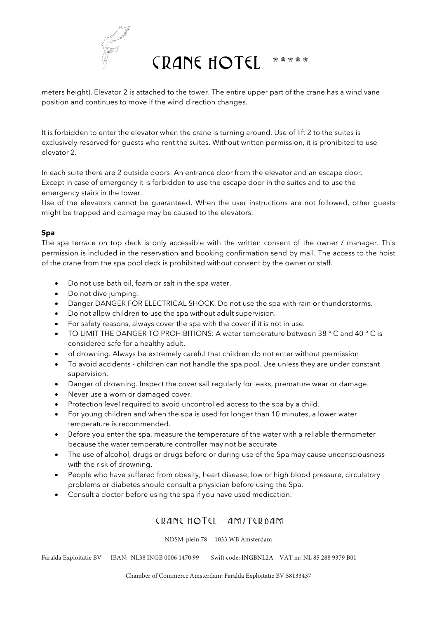

meters height). Elevator 2 is attached to the tower. The entire upper part of the crane has a wind vane position and continues to move if the wind direction changes.

It is forbidden to enter the elevator when the crane is turning around. Use of lift 2 to the suites is exclusively reserved for guests who rent the suites. Without written permission, it is prohibited to use elevator 2.

In each suite there are 2 outside doors: An entrance door from the elevator and an escape door. Except in case of emergency it is forbidden to use the escape door in the suites and to use the emergency stairs in the tower.

Use of the elevators cannot be guaranteed. When the user instructions are not followed, other guests might be trapped and damage may be caused to the elevators.

## **Spa**

The spa terrace on top deck is only accessible with the written consent of the owner / manager. This permission is included in the reservation and booking confirmation send by mail. The access to the hoist of the crane from the spa pool deck is prohibited without consent by the owner or staff.

- Do not use bath oil, foam or salt in the spa water.
- Do not dive jumping.
- Danger DANGER FOR ELECTRICAL SHOCK. Do not use the spa with rain or thunderstorms.
- Do not allow children to use the spa without adult supervision.
- For safety reasons, always cover the spa with the cover if it is not in use.
- TO LIMIT THE DANGER TO PROHIBITIONS: A water temperature between 38 ° C and 40 ° C is considered safe for a healthy adult.
- of drowning. Always be extremely careful that children do not enter without permission
- To avoid accidents children can not handle the spa pool. Use unless they are under constant supervision.
- Danger of drowning. Inspect the cover sail regularly for leaks, premature wear or damage.
- Never use a worn or damaged cover.
- Protection level required to avoid uncontrolled access to the spa by a child.
- For young children and when the spa is used for longer than 10 minutes, a lower water temperature is recommended.
- Before you enter the spa, measure the temperature of the water with a reliable thermometer because the water temperature controller may not be accurate.
- The use of alcohol, drugs or drugs before or during use of the Spa may cause unconsciousness with the risk of drowning.
- People who have suffered from obesity, heart disease, low or high blood pressure, circulatory problems or diabetes should consult a physician before using the Spa.
- Consult a doctor before using the spa if you have used medication.

# CRANE HOTEL AMITERDAM

NDSM-plein 78 1033 WB Amsterdam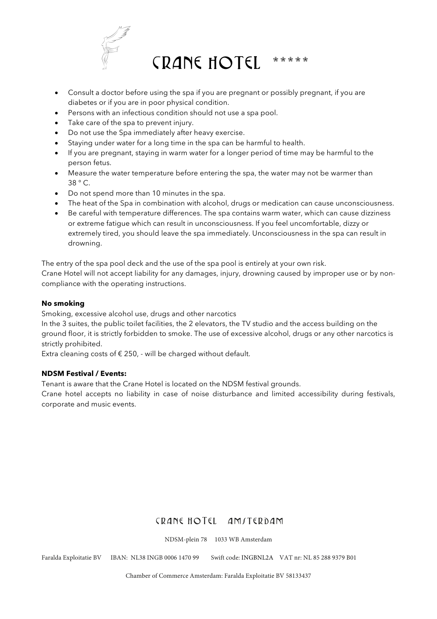

- Consult a doctor before using the spa if you are pregnant or possibly pregnant, if you are diabetes or if you are in poor physical condition.
- Persons with an infectious condition should not use a spa pool.
- Take care of the spa to prevent injury.
- Do not use the Spa immediately after heavy exercise.
- Staying under water for a long time in the spa can be harmful to health.
- If you are pregnant, staying in warm water for a longer period of time may be harmful to the person fetus.
- Measure the water temperature before entering the spa, the water may not be warmer than 38 ° C.
- Do not spend more than 10 minutes in the spa.
- The heat of the Spa in combination with alcohol, drugs or medication can cause unconsciousness.
- Be careful with temperature differences. The spa contains warm water, which can cause dizziness or extreme fatigue which can result in unconsciousness. If you feel uncomfortable, dizzy or extremely tired, you should leave the spa immediately. Unconsciousness in the spa can result in drowning.

The entry of the spa pool deck and the use of the spa pool is entirely at your own risk.

Crane Hotel will not accept liability for any damages, injury, drowning caused by improper use or by noncompliance with the operating instructions.

### **No smoking**

Smoking, excessive alcohol use, drugs and other narcotics

In the 3 suites, the public toilet facilities, the 2 elevators, the TV studio and the access building on the ground floor, it is strictly forbidden to smoke. The use of excessive alcohol, drugs or any other narcotics is strictly prohibited.

Extra cleaning costs of  $\epsilon$  250, - will be charged without default.

### **NDSM Festival / Events:**

Tenant is aware that the Crane Hotel is located on the NDSM festival grounds.

Crane hotel accepts no liability in case of noise disturbance and limited accessibility during festivals, corporate and music events.

# CRANE HOTEL AMITERDAM

NDSM-plein 78 1033 WB Amsterdam

Faralda Exploitatie BV IBAN: NL38 INGB 0006 1470 99 Swift code: INGBNL2A VAT nr: NL 85 288 9379 B01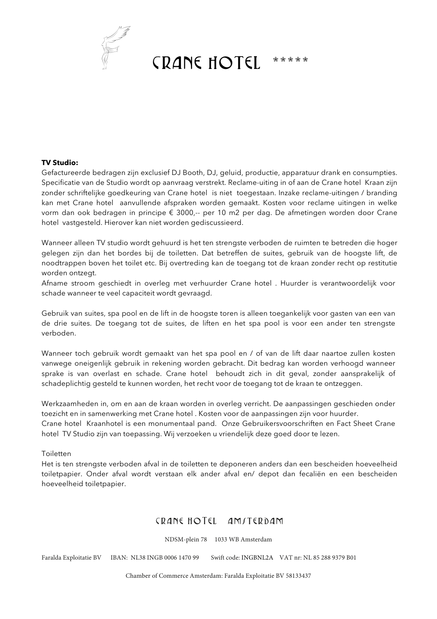

#### **TV Studio:**

Gefactureerde bedragen zijn exclusief DJ Booth, DJ, geluid, productie, apparatuur drank en consumpties. Specificatie van de Studio wordt op aanvraag verstrekt. Reclame-uiting in of aan de Crane hotel Kraan zijn zonder schriftelijke goedkeuring van Crane hotel is niet toegestaan. Inzake reclame-uitingen / branding kan met Crane hotel aanvullende afspraken worden gemaakt. Kosten voor reclame uitingen in welke vorm dan ook bedragen in principe € 3000,-- per 10 m2 per dag. De afmetingen worden door Crane hotel vastgesteld. Hierover kan niet worden gediscussieerd.

Wanneer alleen TV studio wordt gehuurd is het ten strengste verboden de ruimten te betreden die hoger gelegen zijn dan het bordes bij de toiletten. Dat betreffen de suites, gebruik van de hoogste lift, de noodtrappen boven het toilet etc. Bij overtreding kan de toegang tot de kraan zonder recht op restitutie worden ontzegt.

Afname stroom geschiedt in overleg met verhuurder Crane hotel . Huurder is verantwoordelijk voor schade wanneer te veel capaciteit wordt gevraagd.

Gebruik van suites, spa pool en de lift in de hoogste toren is alleen toegankelijk voor gasten van een van de drie suites. De toegang tot de suites, de liften en het spa pool is voor een ander ten strengste verboden.

Wanneer toch gebruik wordt gemaakt van het spa pool en / of van de lift daar naartoe zullen kosten vanwege oneigenlijk gebruik in rekening worden gebracht. Dit bedrag kan worden verhoogd wanneer sprake is van overlast en schade. Crane hotel behoudt zich in dit geval, zonder aansprakelijk of schadeplichtig gesteld te kunnen worden, het recht voor de toegang tot de kraan te ontzeggen.

Werkzaamheden in, om en aan de kraan worden in overleg verricht. De aanpassingen geschieden onder toezicht en in samenwerking met Crane hotel . Kosten voor de aanpassingen zijn voor huurder. Crane hotel Kraanhotel is een monumentaal pand. Onze Gebruikersvoorschriften en Fact Sheet Crane hotel TV Studio zijn van toepassing. Wij verzoeken u vriendelijk deze goed door te lezen.

Toiletten

Het is ten strengste verboden afval in de toiletten te deponeren anders dan een bescheiden hoeveelheid toiletpapier. Onder afval wordt verstaan elk ander afval en/ depot dan fecaliën en een bescheiden hoeveelheid toiletpapier.

# CRANE HOTEL AMITERDAM

NDSM-plein 78 1033 WB Amsterdam

Faralda Exploitatie BV IBAN: NL38 INGB 0006 1470 99 Swift code: INGBNL2A VAT nr: NL 85 288 9379 B01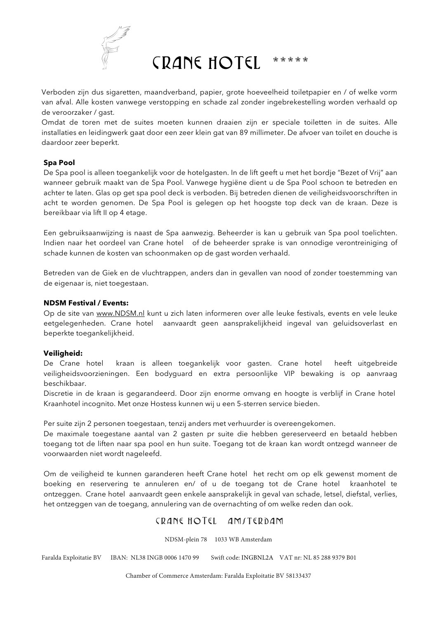

Verboden zijn dus sigaretten, maandverband, papier, grote hoeveelheid toiletpapier en / of welke vorm van afval. Alle kosten vanwege verstopping en schade zal zonder ingebrekestelling worden verhaald op de veroorzaker / gast.

Omdat de toren met de suites moeten kunnen draaien zijn er speciale toiletten in de suites. Alle installaties en leidingwerk gaat door een zeer klein gat van 89 millimeter. De afvoer van toilet en douche is daardoor zeer beperkt.

## **Spa Pool**

De Spa pool is alleen toegankelijk voor de hotelgasten. In de lift geeft u met het bordje "Bezet of Vrij" aan wanneer gebruik maakt van de Spa Pool. Vanwege hygiëne dient u de Spa Pool schoon te betreden en achter te laten. Glas op get spa pool deck is verboden. Bij betreden dienen de veiligheidsvoorschriften in acht te worden genomen. De Spa Pool is gelegen op het hoogste top deck van de kraan. Deze is bereikbaar via lift II op 4 etage.

Een gebruiksaanwijzing is naast de Spa aanwezig. Beheerder is kan u gebruik van Spa pool toelichten. Indien naar het oordeel van Crane hotel of de beheerder sprake is van onnodige verontreiniging of schade kunnen de kosten van schoonmaken op de gast worden verhaald.

Betreden van de Giek en de vluchtrappen, anders dan in gevallen van nood of zonder toestemming van de eigenaar is, niet toegestaan.

### **NDSM Festival / Events:**

Op de site van www.NDSM.nl kunt u zich laten informeren over alle leuke festivals, events en vele leuke eetgelegenheden. Crane hotel aanvaardt geen aansprakelijkheid ingeval van geluidsoverlast en beperkte toegankelijkheid.

### **Veiligheid:**

De Crane hotel kraan is alleen toegankelijk voor gasten. Crane hotel heeft uitgebreide veiligheidsvoorzieningen. Een bodyguard en extra persoonlijke VIP bewaking is op aanvraag beschikbaar.

Discretie in de kraan is gegarandeerd. Door zijn enorme omvang en hoogte is verblijf in Crane hotel Kraanhotel incognito. Met onze Hostess kunnen wij u een 5-sterren service bieden.

Per suite zijn 2 personen toegestaan, tenzij anders met verhuurder is overeengekomen.

De maximale toegestane aantal van 2 gasten pr suite die hebben gereserveerd en betaald hebben toegang tot de liften naar spa pool en hun suite. Toegang tot de kraan kan wordt ontzegd wanneer de voorwaarden niet wordt nageleefd.

Om de veiligheid te kunnen garanderen heeft Crane hotel het recht om op elk gewenst moment de boeking en reservering te annuleren en/ of u de toegang tot de Crane hotel kraanhotel te ontzeggen. Crane hotel aanvaardt geen enkele aansprakelijk in geval van schade, letsel, diefstal, verlies, het ontzeggen van de toegang, annulering van de overnachting of om welke reden dan ook.

# CRANE HOTEL AMITERDAM

NDSM-plein 78 1033 WB Amsterdam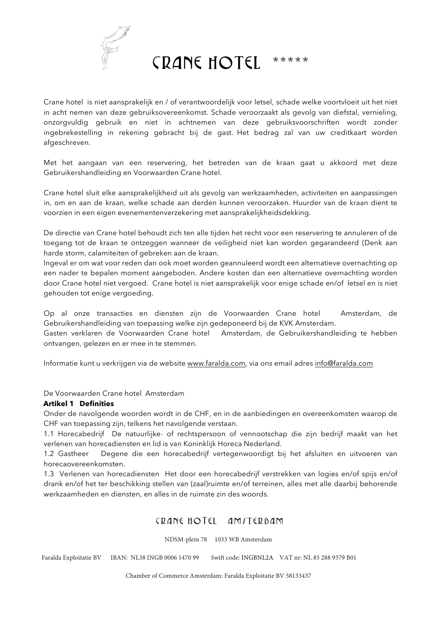

Crane hotel is niet aansprakelijk en / of verantwoordelijk voor letsel, schade welke voortvloeit uit het niet in acht nemen van deze gebruiksovereenkomst. Schade veroorzaakt als gevolg van diefstal, vernieling, onzorgvuldig gebruik en niet in achtnemen van deze gebruiksvoorschriften wordt zonder ingebrekestelling in rekening gebracht bij de gast. Het bedrag zal van uw creditkaart worden afgeschreven.

Met het aangaan van een reservering, het betreden van de kraan gaat u akkoord met deze Gebruikershandleiding en Voorwaarden Crane hotel.

Crane hotel sluit elke aansprakelijkheid uit als gevolg van werkzaamheden, activiteiten en aanpassingen in, om en aan de kraan, welke schade aan derden kunnen veroorzaken. Huurder van de kraan dient te voorzien in een eigen evenementenverzekering met aansprakelijkheidsdekking.

De directie van Crane hotel behoudt zich ten alle tijden het recht voor een reservering te annuleren of de toegang tot de kraan te ontzeggen wanneer de veiligheid niet kan worden gegarandeerd (Denk aan harde storm, calamiteiten of gebreken aan de kraan.

Ingeval er om wat voor reden dan ook moet worden geannuleerd wordt een alternatieve overnachting op een nader te bepalen moment aangeboden. Andere kosten dan een alternatieve overnachting worden door Crane hotel niet vergoed. Crane hotel is niet aansprakelijk voor enige schade en/of letsel en is niet gehouden tot enige vergoeding.

Op al onze transacties en diensten zijn de Voorwaarden Crane hotel Amsterdam, de Gebruikershandleiding van toepassing welke zijn gedeponeerd bij de KVK Amsterdam.

Gasten verklaren de Voorwaarden Crane hotel Amsterdam, de Gebruikershandleiding te hebben ontvangen, gelezen en er mee in te stemmen.

Informatie kunt u verkrijgen via de website www.faralda.com, via ons email adres info@faralda.com

De Voorwaarden Crane hotel Amsterdam

#### **Artikel 1 Definities**

Onder de navolgende woorden wordt in de CHF, en in de aanbiedingen en overeenkomsten waarop de CHF van toepassing zijn, telkens het navolgende verstaan.

1.1 Horecabedrijf De natuurlijke- of rechtspersoon of vennootschap die zijn bedrijf maakt van het verlenen van horecadiensten en lid is van Koninklijk Horeca Nederland.

1.2 Gastheer Degene die een horecabedrijf vertegenwoordigt bij het afsluiten en uitvoeren van horecaovereenkomsten.

1.3 Verlenen van horecadiensten Het door een horecabedrijf verstrekken van logies en/of spijs en/of drank en/of het ter beschikking stellen van (zaal)ruimte en/of terreinen, alles met alle daarbij behorende werkzaamheden en diensten, en alles in de ruimste zin des woords.

# CRANE HOTEL AMITERDAM

NDSM-plein 78 1033 WB Amsterdam

Faralda Exploitatie BV IBAN: NL38 INGB 0006 1470 99 Swift code: INGBNL2A VAT nr: NL 85 288 9379 B01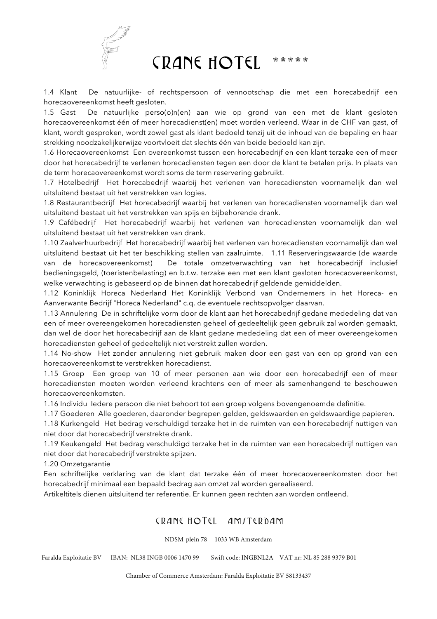

1.4 Klant De natuurlijke- of rechtspersoon of vennootschap die met een horecabedrijf een horecaovereenkomst heeft gesloten.

1.5 Gast De natuurlijke perso(o)n(en) aan wie op grond van een met de klant gesloten horecaovereenkomst één of meer horecadienst(en) moet worden verleend. Waar in de CHF van gast, of klant, wordt gesproken, wordt zowel gast als klant bedoeld tenzij uit de inhoud van de bepaling en haar strekking noodzakelijkerwijze voortvloeit dat slechts één van beide bedoeld kan zijn.

1.6 Horecaovereenkomst Een overeenkomst tussen een horecabedrijf en een klant terzake een of meer door het horecabedrijf te verlenen horecadiensten tegen een door de klant te betalen prijs. In plaats van de term horecaovereenkomst wordt soms de term reservering gebruikt.

1.7 Hotelbedrijf Het horecabedrijf waarbij het verlenen van horecadiensten voornamelijk dan wel uitsluitend bestaat uit het verstrekken van logies.

1.8 Restaurantbedrijf Het horecabedrijf waarbij het verlenen van horecadiensten voornamelijk dan wel uitsluitend bestaat uit het verstrekken van spijs en bijbehorende drank.

1.9 Cafébedrijf Het horecabedrijf waarbij het verlenen van horecadiensten voornamelijk dan wel uitsluitend bestaat uit het verstrekken van drank.

1.10 Zaalverhuurbedrijf Het horecabedrijf waarbij het verlenen van horecadiensten voornamelijk dan wel uitsluitend bestaat uit het ter beschikking stellen van zaalruimte. 1.11 Reserveringswaarde (de waarde van de horecaovereenkomst) De totale omzetverwachting van het horecabedrijf inclusief bedieningsgeld, (toeristenbelasting) en b.t.w. terzake een met een klant gesloten horecaovereenkomst, welke verwachting is gebaseerd op de binnen dat horecabedrijf geldende gemiddelden.

1.12 Koninklijk Horeca Nederland Het Koninklijk Verbond van Ondernemers in het Horeca- en Aanverwante Bedrijf "Horeca Nederland" c.q. de eventuele rechtsopvolger daarvan.

1.13 Annulering De in schriftelijke vorm door de klant aan het horecabedrijf gedane mededeling dat van een of meer overeengekomen horecadiensten geheel of gedeeltelijk geen gebruik zal worden gemaakt, dan wel de door het horecabedrijf aan de klant gedane mededeling dat een of meer overeengekomen horecadiensten geheel of gedeeltelijk niet verstrekt zullen worden.

1.14 No-show Het zonder annulering niet gebruik maken door een gast van een op grond van een horecaovereenkomst te verstrekken horecadienst.

1.15 Groep Een groep van 10 of meer personen aan wie door een horecabedrijf een of meer horecadiensten moeten worden verleend krachtens een of meer als samenhangend te beschouwen horecaovereenkomsten.

1.16 Individu Iedere persoon die niet behoort tot een groep volgens bovengenoemde definitie.

1.17 Goederen Alle goederen, daaronder begrepen gelden, geldswaarden en geldswaardige papieren.

1.18 Kurkengeld Het bedrag verschuldigd terzake het in de ruimten van een horecabedrijf nuttigen van niet door dat horecabedrijf verstrekte drank.

1.19 Keukengeld Het bedrag verschuldigd terzake het in de ruimten van een horecabedrijf nuttigen van niet door dat horecabedrijf verstrekte spijzen.

1.20 Omzetgarantie

Een schriftelijke verklaring van de klant dat terzake één of meer horecaovereenkomsten door het horecabedrijf minimaal een bepaald bedrag aan omzet zal worden gerealiseerd.

Artikeltitels dienen uitsluitend ter referentie. Er kunnen geen rechten aan worden ontleend.

# CRANE HOTEL AMITERDAM

NDSM-plein 78 1033 WB Amsterdam

Faralda Exploitatie BV IBAN: NL38 INGB 0006 1470 99 Swift code: INGBNL2A VAT nr: NL 85 288 9379 B01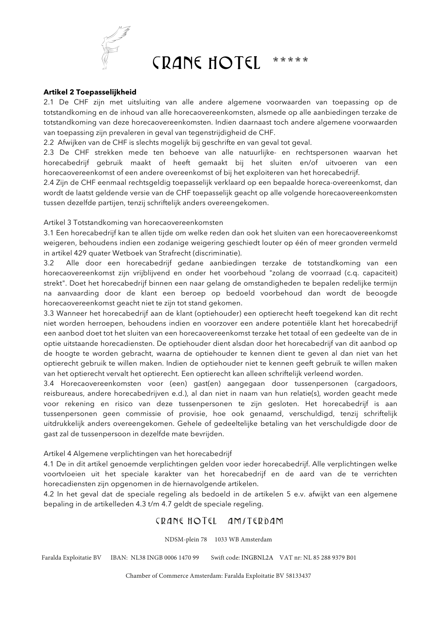

### **Artikel 2 Toepasselijkheid**

2.1 De CHF zijn met uitsluiting van alle andere algemene voorwaarden van toepassing op de totstandkoming en de inhoud van alle horecaovereenkomsten, alsmede op alle aanbiedingen terzake de totstandkoming van deze horecaovereenkomsten. Indien daarnaast toch andere algemene voorwaarden van toepassing zijn prevaleren in geval van tegenstrijdigheid de CHF.

2.2 Afwijken van de CHF is slechts mogelijk bij geschrifte en van geval tot geval.

2.3 De CHF strekken mede ten behoeve van alle natuurlijke- en rechtspersonen waarvan het horecabedrijf gebruik maakt of heeft gemaakt bij het sluiten en/of uitvoeren van een horecaovereenkomst of een andere overeenkomst of bij het exploiteren van het horecabedrijf.

2.4 Zijn de CHF eenmaal rechtsgeldig toepasselijk verklaard op een bepaalde horeca-overeenkomst, dan wordt de laatst geldende versie van de CHF toepasselijk geacht op alle volgende horecaovereenkomsten tussen dezelfde partijen, tenzij schriftelijk anders overeengekomen.

Artikel 3 Totstandkoming van horecaovereenkomsten

3.1 Een horecabedrijf kan te allen tijde om welke reden dan ook het sluiten van een horecaovereenkomst weigeren, behoudens indien een zodanige weigering geschiedt louter op één of meer gronden vermeld in artikel 429 quater Wetboek van Strafrecht (discriminatie).

3.2 Alle door een horecabedrijf gedane aanbiedingen terzake de totstandkoming van een horecaovereenkomst zijn vrijblijvend en onder het voorbehoud "zolang de voorraad (c.q. capaciteit) strekt". Doet het horecabedrijf binnen een naar gelang de omstandigheden te bepalen redelijke termijn na aanvaarding door de klant een beroep op bedoeld voorbehoud dan wordt de beoogde horecaovereenkomst geacht niet te zijn tot stand gekomen.

3.3 Wanneer het horecabedrijf aan de klant (optiehouder) een optierecht heeft toegekend kan dit recht niet worden herroepen, behoudens indien en voorzover een andere potentiële klant het horecabedrijf een aanbod doet tot het sluiten van een horecaovereenkomst terzake het totaal of een gedeelte van de in optie uitstaande horecadiensten. De optiehouder dient alsdan door het horecabedrijf van dit aanbod op de hoogte te worden gebracht, waarna de optiehouder te kennen dient te geven al dan niet van het optierecht gebruik te willen maken. Indien de optiehouder niet te kennen geeft gebruik te willen maken van het optierecht vervalt het optierecht. Een optierecht kan alleen schriftelijk verleend worden.

3.4 Horecaovereenkomsten voor (een) gast(en) aangegaan door tussenpersonen (cargadoors, reisbureaus, andere horecabedrijven e.d.), al dan niet in naam van hun relatie(s), worden geacht mede voor rekening en risico van deze tussenpersonen te zijn gesloten. Het horecabedrijf is aan tussenpersonen geen commissie of provisie, hoe ook genaamd, verschuldigd, tenzij schriftelijk uitdrukkelijk anders overeengekomen. Gehele of gedeeltelijke betaling van het verschuldigde door de gast zal de tussenpersoon in dezelfde mate bevrijden.

Artikel 4 Algemene verplichtingen van het horecabedrijf

4.1 De in dit artikel genoemde verplichtingen gelden voor ieder horecabedrijf. Alle verplichtingen welke voortvloeien uit het speciale karakter van het horecabedrijf en de aard van de te verrichten horecadiensten zijn opgenomen in de hiernavolgende artikelen.

4.2 In het geval dat de speciale regeling als bedoeld in de artikelen 5 e.v. afwijkt van een algemene bepaling in de artikelleden 4.3 t/m 4.7 geldt de speciale regeling.

## CRANE HOTEL AMITERDAM

NDSM-plein 78 1033 WB Amsterdam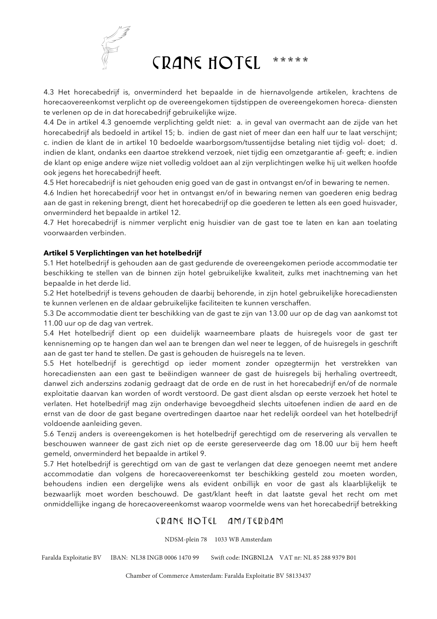

4.3 Het horecabedrijf is, onverminderd het bepaalde in de hiernavolgende artikelen, krachtens de horecaovereenkomst verplicht op de overeengekomen tijdstippen de overeengekomen horeca- diensten te verlenen op de in dat horecabedrijf gebruikelijke wijze.

4.4 De in artikel 4.3 genoemde verplichting geldt niet: a. in geval van overmacht aan de zijde van het horecabedrijf als bedoeld in artikel 15; b. indien de gast niet of meer dan een half uur te laat verschijnt; c. indien de klant de in artikel 10 bedoelde waarborgsom/tussentijdse betaling niet tijdig vol- doet; d. indien de klant, ondanks een daartoe strekkend verzoek, niet tijdig een omzetgarantie af- geeft; e. indien de klant op enige andere wijze niet volledig voldoet aan al zijn verplichtingen welke hij uit welken hoofde ook jegens het horecabedrijf heeft.

4.5 Het horecabedrijf is niet gehouden enig goed van de gast in ontvangst en/of in bewaring te nemen.

4.6 Indien het horecabedrijf voor het in ontvangst en/of in bewaring nemen van goederen enig bedrag aan de gast in rekening brengt, dient het horecabedrijf op die goederen te letten als een goed huisvader, onverminderd het bepaalde in artikel 12.

4.7 Het horecabedrijf is nimmer verplicht enig huisdier van de gast toe te laten en kan aan toelating voorwaarden verbinden.

## **Artikel 5 Verplichtingen van het hotelbedrijf**

5.1 Het hotelbedrijf is gehouden aan de gast gedurende de overeengekomen periode accommodatie ter beschikking te stellen van de binnen zijn hotel gebruikelijke kwaliteit, zulks met inachtneming van het bepaalde in het derde lid.

5.2 Het hotelbedrijf is tevens gehouden de daarbij behorende, in zijn hotel gebruikelijke horecadiensten te kunnen verlenen en de aldaar gebruikelijke faciliteiten te kunnen verschaffen.

5.3 De accommodatie dient ter beschikking van de gast te zijn van 13.00 uur op de dag van aankomst tot 11.00 uur op de dag van vertrek.

5.4 Het hotelbedrijf dient op een duidelijk waarneembare plaats de huisregels voor de gast ter kennisneming op te hangen dan wel aan te brengen dan wel neer te leggen, of de huisregels in geschrift aan de gast ter hand te stellen. De gast is gehouden de huisregels na te leven.

5.5 Het hotelbedrijf is gerechtigd op ieder moment zonder opzegtermijn het verstrekken van horecadiensten aan een gast te beëindigen wanneer de gast de huisregels bij herhaling overtreedt, danwel zich anderszins zodanig gedraagt dat de orde en de rust in het horecabedrijf en/of de normale exploitatie daarvan kan worden of wordt verstoord. De gast dient alsdan op eerste verzoek het hotel te verlaten. Het hotelbedrijf mag zijn onderhavige bevoegdheid slechts uitoefenen indien de aard en de ernst van de door de gast begane overtredingen daartoe naar het redelijk oordeel van het hotelbedrijf voldoende aanleiding geven.

5.6 Tenzij anders is overeengekomen is het hotelbedrijf gerechtigd om de reservering als vervallen te beschouwen wanneer de gast zich niet op de eerste gereserveerde dag om 18.00 uur bij hem heeft gemeld, onverminderd het bepaalde in artikel 9.

5.7 Het hotelbedrijf is gerechtigd om van de gast te verlangen dat deze genoegen neemt met andere accommodatie dan volgens de horecaovereenkomst ter beschikking gesteld zou moeten worden, behoudens indien een dergelijke wens als evident onbillijk en voor de gast als klaarblijkelijk te bezwaarlijk moet worden beschouwd. De gast/klant heeft in dat laatste geval het recht om met onmiddellijke ingang de horecaovereenkomst waarop voormelde wens van het horecabedrijf betrekking

# CRANE HOTEL AMITERDAM

NDSM-plein 78 1033 WB Amsterdam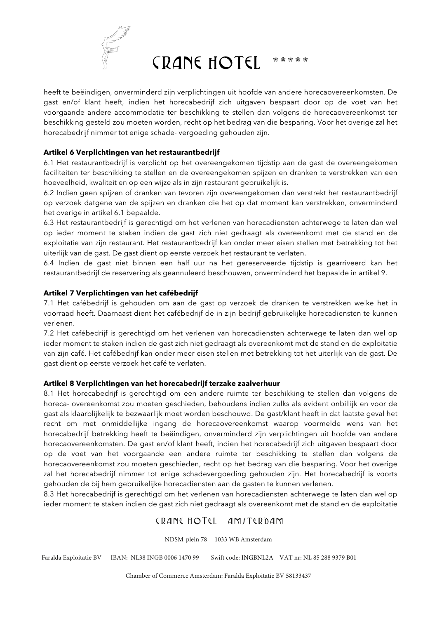

heeft te beëindigen, onverminderd zijn verplichtingen uit hoofde van andere horecaovereenkomsten. De gast en/of klant heeft, indien het horecabedrijf zich uitgaven bespaart door op de voet van het voorgaande andere accommodatie ter beschikking te stellen dan volgens de horecaovereenkomst ter beschikking gesteld zou moeten worden, recht op het bedrag van die besparing. Voor het overige zal het horecabedrijf nimmer tot enige schade- vergoeding gehouden zijn.

## **Artikel 6 Verplichtingen van het restaurantbedrijf**

6.1 Het restaurantbedrijf is verplicht op het overeengekomen tijdstip aan de gast de overeengekomen faciliteiten ter beschikking te stellen en de overeengekomen spijzen en dranken te verstrekken van een hoeveelheid, kwaliteit en op een wijze als in zijn restaurant gebruikelijk is.

6.2 Indien geen spijzen of dranken van tevoren zijn overeengekomen dan verstrekt het restaurantbedrijf op verzoek datgene van de spijzen en dranken die het op dat moment kan verstrekken, onverminderd het overige in artikel 6.1 bepaalde.

6.3 Het restaurantbedrijf is gerechtigd om het verlenen van horecadiensten achterwege te laten dan wel op ieder moment te staken indien de gast zich niet gedraagt als overeenkomt met de stand en de exploitatie van zijn restaurant. Het restaurantbedrijf kan onder meer eisen stellen met betrekking tot het uiterlijk van de gast. De gast dient op eerste verzoek het restaurant te verlaten.

6.4 Indien de gast niet binnen een half uur na het gereserveerde tijdstip is gearriveerd kan het restaurantbedrijf de reservering als geannuleerd beschouwen, onverminderd het bepaalde in artikel 9.

## **Artikel 7 Verplichtingen van het cafébedrijf**

7.1 Het cafébedrijf is gehouden om aan de gast op verzoek de dranken te verstrekken welke het in voorraad heeft. Daarnaast dient het cafébedrijf de in zijn bedrijf gebruikelijke horecadiensten te kunnen verlenen.

7.2 Het cafébedrijf is gerechtigd om het verlenen van horecadiensten achterwege te laten dan wel op ieder moment te staken indien de gast zich niet gedraagt als overeenkomt met de stand en de exploitatie van zijn café. Het cafébedrijf kan onder meer eisen stellen met betrekking tot het uiterlijk van de gast. De gast dient op eerste verzoek het café te verlaten.

### **Artikel 8 Verplichtingen van het horecabedrijf terzake zaalverhuur**

8.1 Het horecabedrijf is gerechtigd om een andere ruimte ter beschikking te stellen dan volgens de horeca- overeenkomst zou moeten geschieden, behoudens indien zulks als evident onbillijk en voor de gast als klaarblijkelijk te bezwaarlijk moet worden beschouwd. De gast/klant heeft in dat laatste geval het recht om met onmiddellijke ingang de horecaovereenkomst waarop voormelde wens van het horecabedrijf betrekking heeft te beëindigen, onverminderd zijn verplichtingen uit hoofde van andere horecaovereenkomsten. De gast en/of klant heeft, indien het horecabedrijf zich uitgaven bespaart door op de voet van het voorgaande een andere ruimte ter beschikking te stellen dan volgens de horecaovereenkomst zou moeten geschieden, recht op het bedrag van die besparing. Voor het overige zal het horecabedrijf nimmer tot enige schadevergoeding gehouden zijn. Het horecabedrijf is voorts gehouden de bij hem gebruikelijke horecadiensten aan de gasten te kunnen verlenen.

8.3 Het horecabedrijf is gerechtigd om het verlenen van horecadiensten achterwege te laten dan wel op ieder moment te staken indien de gast zich niet gedraagt als overeenkomt met de stand en de exploitatie

# CRANE HOTEL AMITERDAM

NDSM-plein 78 1033 WB Amsterdam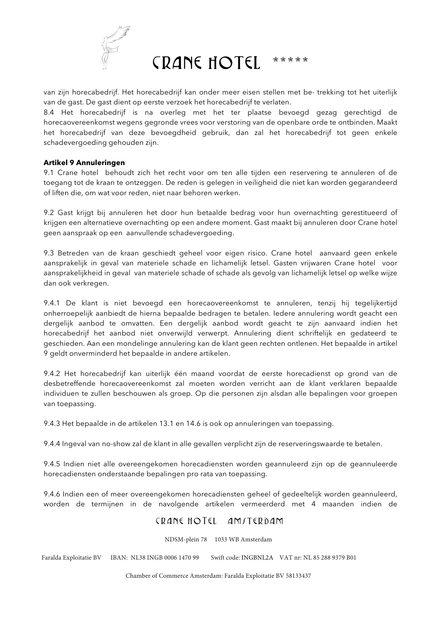

van zijn horecabedrijf. Het horecabedrijf kan onder meer eisen stellen met be- trekking tot het uiterlijk van de gast. De gast dient op eerste verzoek het horecabedrijf te verlaten.

8.4 Het horecabedrijf is na overleg met het ter plaatse bevoegd gezag gerechtigd de horecaovereenkomst wegens gegronde vrees voor verstoring van de openbare orde te ontbinden. Maakt het horecabedrijf van deze bevoegdheid gebruik, dan zal het horecabedrijf tot geen enkele schadevergoeding gehouden zijn.

### **Artikel 9 Annuleringen**

9.1 Crane hotel behoudt zich het recht voor om ten alle tijden een reservering te annuleren of de toegang tot de kraan te ontzeggen. De reden is gelegen in veiligheid die niet kan worden gegarandeerd of liften die, om wat voor reden, niet naar behoren werken.

9.2 Gast krijgt bij annuleren het door hun betaalde bedrag voor hun overnachting gerestitueerd of krijgen een alternatieve overnachting op een andere moment. Gast maakt bij annuleren door Crane hotel geen aanspraak op een aanvullende schadevergoeding.

9.3 Betreden van de kraan geschiedt geheel voor eigen risico. Crane hotel aanvaard geen enkele aansprakelijk in geval van materiele schade en lichamelijk letsel. Gasten vrijwaren Crane hotel voor aansprakelijkheid in geval van materiele schade of schade als gevolg van lichamelijk letsel op welke wijze dan ook verkregen.

9.4.1 De klant is niet bevoegd een horecaovereenkomst te annuleren, tenzij hij tegelijkertijd onherroepelijk aanbiedt de hierna bepaalde bedragen te betalen. Iedere annulering wordt geacht een dergelijk aanbod te omvatten. Een dergelijk aanbod wordt geacht te zijn aanvaard indien het horecabedrijf het aanbod niet onverwijld verwerpt. Annulering dient schriftelijk en gedateerd te geschieden. Aan een mondelinge annulering kan de klant geen rechten ontlenen. Het bepaalde in artikel 9 geldt onverminderd het bepaalde in andere artikelen.

9.4.2 Het horecabedrijf kan uiterlijk één maand voordat de eerste horecadienst op grond van de desbetreffende horecaovereenkomst zal moeten worden verricht aan de klant verklaren bepaalde individuen te zullen beschouwen als groep. Op die personen zijn alsdan alle bepalingen voor groepen van toepassing.

9.4.3 Het bepaalde in de artikelen 13.1 en 14.6 is ook op annuleringen van toepassing.

9.4.4 Ingeval van no-show zal de klant in alle gevallen verplicht zijn de reserveringswaarde te betalen.

9.4.5 Indien niet alle overeengekomen horecadiensten worden geannuleerd zijn op de geannuleerde horecadiensten onderstaande bepalingen pro rata van toepassing.

9.4.6 Indien een of meer overeengekomen horecadiensten geheel of gedeeltelijk worden geannuleerd, worden de termijnen in de navolgende artikelen vermeerderd met 4 maanden indien de

# CRANE HOTEL AMITERDAM

NDSM-plein 78 1033 WB Amsterdam

Faralda Exploitatie BV IBAN: NL38 INGB 0006 1470 99 Swift code: INGBNL2A VAT nr: NL 85 288 9379 B01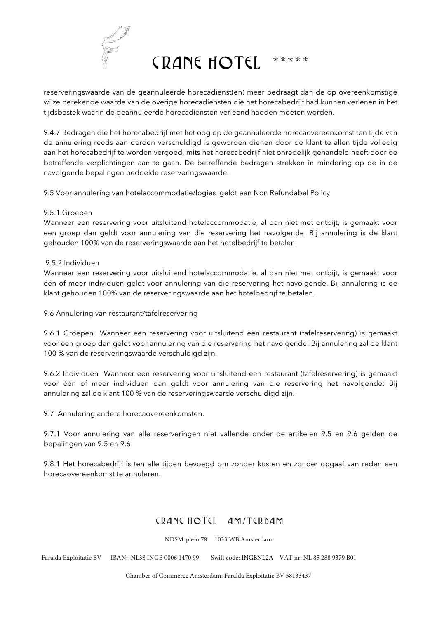

reserveringswaarde van de geannuleerde horecadienst(en) meer bedraagt dan de op overeenkomstige wijze berekende waarde van de overige horecadiensten die het horecabedrijf had kunnen verlenen in het tijdsbestek waarin de geannuleerde horecadiensten verleend hadden moeten worden.

9.4.7 Bedragen die het horecabedrijf met het oog op de geannuleerde horecaovereenkomst ten tijde van de annulering reeds aan derden verschuldigd is geworden dienen door de klant te allen tijde volledig aan het horecabedrijf te worden vergoed, mits het horecabedrijf niet onredelijk gehandeld heeft door de betreffende verplichtingen aan te gaan. De betreffende bedragen strekken in mindering op de in de navolgende bepalingen bedoelde reserveringswaarde.

9.5 Voor annulering van hotelaccommodatie/logies geldt een Non Refundabel Policy

## 9.5.1 Groepen

Wanneer een reservering voor uitsluitend hotelaccommodatie, al dan niet met ontbijt, is gemaakt voor een groep dan geldt voor annulering van die reservering het navolgende. Bij annulering is de klant gehouden 100% van de reserveringswaarde aan het hotelbedrijf te betalen.

## 9.5.2 Individuen

Wanneer een reservering voor uitsluitend hotelaccommodatie, al dan niet met ontbijt, is gemaakt voor één of meer individuen geldt voor annulering van die reservering het navolgende. Bij annulering is de klant gehouden 100% van de reserveringswaarde aan het hotelbedrijf te betalen.

### 9.6 Annulering van restaurant/tafelreservering

9.6.1 Groepen Wanneer een reservering voor uitsluitend een restaurant (tafelreservering) is gemaakt voor een groep dan geldt voor annulering van die reservering het navolgende: Bij annulering zal de klant 100 % van de reserveringswaarde verschuldigd zijn.

9.6.2 Individuen Wanneer een reservering voor uitsluitend een restaurant (tafelreservering) is gemaakt voor één of meer individuen dan geldt voor annulering van die reservering het navolgende: Bij annulering zal de klant 100 % van de reserveringswaarde verschuldigd zijn.

9.7 Annulering andere horecaovereenkomsten.

9.7.1 Voor annulering van alle reserveringen niet vallende onder de artikelen 9.5 en 9.6 gelden de bepalingen van 9.5 en 9.6

9.8.1 Het horecabedrijf is ten alle tijden bevoegd om zonder kosten en zonder opgaaf van reden een horecaovereenkomst te annuleren.

# CRANE HOTEL AMITERDAM

NDSM-plein 78 1033 WB Amsterdam

Faralda Exploitatie BV IBAN: NL38 INGB 0006 1470 99 Swift code: INGBNL2A VAT nr: NL 85 288 9379 B01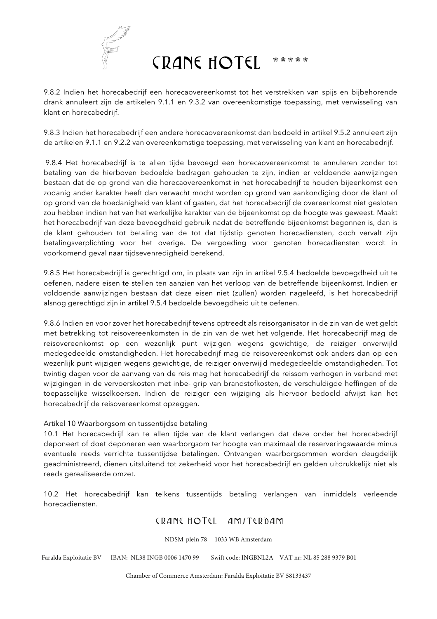

9.8.2 Indien het horecabedrijf een horecaovereenkomst tot het verstrekken van spijs en bijbehorende drank annuleert zijn de artikelen 9.1.1 en 9.3.2 van overeenkomstige toepassing, met verwisseling van klant en horecabedrijf.

9.8.3 Indien het horecabedrijf een andere horecaovereenkomst dan bedoeld in artikel 9.5.2 annuleert zijn de artikelen 9.1.1 en 9.2.2 van overeenkomstige toepassing, met verwisseling van klant en horecabedrijf.

9.8.4 Het horecabedrijf is te allen tijde bevoegd een horecaovereenkomst te annuleren zonder tot betaling van de hierboven bedoelde bedragen gehouden te zijn, indien er voldoende aanwijzingen bestaan dat de op grond van die horecaovereenkomst in het horecabedrijf te houden bijeenkomst een zodanig ander karakter heeft dan verwacht mocht worden op grond van aankondiging door de klant of op grond van de hoedanigheid van klant of gasten, dat het horecabedrijf de overeenkomst niet gesloten zou hebben indien het van het werkelijke karakter van de bijeenkomst op de hoogte was geweest. Maakt het horecabedrijf van deze bevoegdheid gebruik nadat de betreffende bijeenkomst begonnen is, dan is de klant gehouden tot betaling van de tot dat tijdstip genoten horecadiensten, doch vervalt zijn betalingsverplichting voor het overige. De vergoeding voor genoten horecadiensten wordt in voorkomend geval naar tijdsevenredigheid berekend.

9.8.5 Het horecabedrijf is gerechtigd om, in plaats van zijn in artikel 9.5.4 bedoelde bevoegdheid uit te oefenen, nadere eisen te stellen ten aanzien van het verloop van de betreffende bijeenkomst. Indien er voldoende aanwijzingen bestaan dat deze eisen niet (zullen) worden nageleefd, is het horecabedrijf alsnog gerechtigd zijn in artikel 9.5.4 bedoelde bevoegdheid uit te oefenen.

9.8.6 Indien en voor zover het horecabedrijf tevens optreedt als reisorganisator in de zin van de wet geldt met betrekking tot reisovereenkomsten in de zin van de wet het volgende. Het horecabedrijf mag de reisovereenkomst op een wezenlijk punt wijzigen wegens gewichtige, de reiziger onverwijld medegedeelde omstandigheden. Het horecabedrijf mag de reisovereenkomst ook anders dan op een wezenlijk punt wijzigen wegens gewichtige, de reiziger onverwijld medegedeelde omstandigheden. Tot twintig dagen voor de aanvang van de reis mag het horecabedrijf de reissom verhogen in verband met wijzigingen in de vervoerskosten met inbe- grip van brandstofkosten, de verschuldigde heffingen of de toepasselijke wisselkoersen. Indien de reiziger een wijziging als hiervoor bedoeld afwijst kan het horecabedrijf de reisovereenkomst opzeggen.

### Artikel 10 Waarborgsom en tussentijdse betaling

10.1 Het horecabedrijf kan te allen tijde van de klant verlangen dat deze onder het horecabedrijf deponeert of doet deponeren een waarborgsom ter hoogte van maximaal de reserveringswaarde minus eventuele reeds verrichte tussentijdse betalingen. Ontvangen waarborgsommen worden deugdelijk geadministreerd, dienen uitsluitend tot zekerheid voor het horecabedrijf en gelden uitdrukkelijk niet als reeds gerealiseerde omzet.

10.2 Het horecabedrijf kan telkens tussentijds betaling verlangen van inmiddels verleende horecadiensten.

# CRANE HOTEL AMITERDAM

NDSM-plein 78 1033 WB Amsterdam

Faralda Exploitatie BV IBAN: NL38 INGB 0006 1470 99 Swift code: INGBNL2A VAT nr: NL 85 288 9379 B01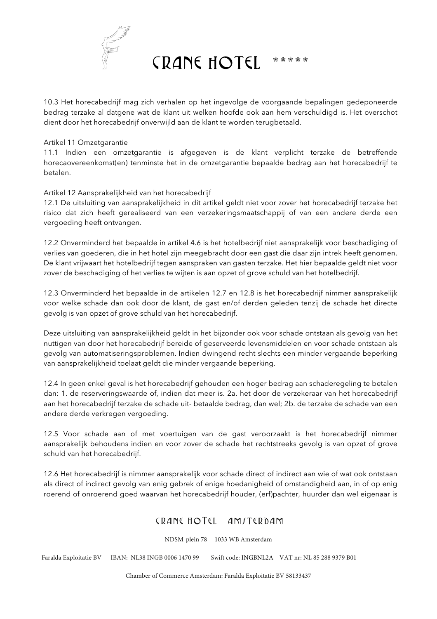

10.3 Het horecabedrijf mag zich verhalen op het ingevolge de voorgaande bepalingen gedeponeerde bedrag terzake al datgene wat de klant uit welken hoofde ook aan hem verschuldigd is. Het overschot dient door het horecabedrijf onverwijld aan de klant te worden terugbetaald.

#### Artikel 11 Omzetgarantie

11.1 Indien een omzetgarantie is afgegeven is de klant verplicht terzake de betreffende horecaovereenkomst(en) tenminste het in de omzetgarantie bepaalde bedrag aan het horecabedrijf te betalen.

### Artikel 12 Aansprakelijkheid van het horecabedrijf

12.1 De uitsluiting van aansprakelijkheid in dit artikel geldt niet voor zover het horecabedrijf terzake het risico dat zich heeft gerealiseerd van een verzekeringsmaatschappij of van een andere derde een vergoeding heeft ontvangen.

12.2 Onverminderd het bepaalde in artikel 4.6 is het hotelbedrijf niet aansprakelijk voor beschadiging of verlies van goederen, die in het hotel zijn meegebracht door een gast die daar zijn intrek heeft genomen. De klant vrijwaart het hotelbedrijf tegen aanspraken van gasten terzake. Het hier bepaalde geldt niet voor zover de beschadiging of het verlies te wijten is aan opzet of grove schuld van het hotelbedrijf.

12.3 Onverminderd het bepaalde in de artikelen 12.7 en 12.8 is het horecabedrijf nimmer aansprakelijk voor welke schade dan ook door de klant, de gast en/of derden geleden tenzij de schade het directe gevolg is van opzet of grove schuld van het horecabedrijf.

Deze uitsluiting van aansprakelijkheid geldt in het bijzonder ook voor schade ontstaan als gevolg van het nuttigen van door het horecabedrijf bereide of geserveerde levensmiddelen en voor schade ontstaan als gevolg van automatiseringsproblemen. Indien dwingend recht slechts een minder vergaande beperking van aansprakelijkheid toelaat geldt die minder vergaande beperking.

12.4 In geen enkel geval is het horecabedrijf gehouden een hoger bedrag aan schaderegeling te betalen dan: 1. de reserveringswaarde of, indien dat meer is. 2a. het door de verzekeraar van het horecabedrijf aan het horecabedrijf terzake de schade uit- betaalde bedrag, dan wel; 2b. de terzake de schade van een andere derde verkregen vergoeding.

12.5 Voor schade aan of met voertuigen van de gast veroorzaakt is het horecabedrijf nimmer aansprakelijk behoudens indien en voor zover de schade het rechtstreeks gevolg is van opzet of grove schuld van het horecabedrijf.

12.6 Het horecabedrijf is nimmer aansprakelijk voor schade direct of indirect aan wie of wat ook ontstaan als direct of indirect gevolg van enig gebrek of enige hoedanigheid of omstandigheid aan, in of op enig roerend of onroerend goed waarvan het horecabedrijf houder, (erf)pachter, huurder dan wel eigenaar is

## CRANE HOTEL AMITERDAM

NDSM-plein 78 1033 WB Amsterdam

Faralda Exploitatie BV IBAN: NL38 INGB 0006 1470 99 Swift code: INGBNL2A VAT nr: NL 85 288 9379 B01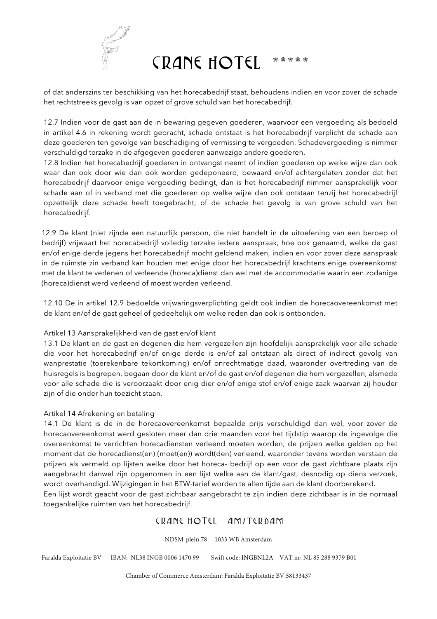

of dat anderszins ter beschikking van het horecabedrijf staat, behoudens indien en voor zover de schade het rechtstreeks gevolg is van opzet of grove schuld van het horecabedrijf.

12.7 Indien voor de gast aan de in bewaring gegeven goederen, waarvoor een vergoeding als bedoeld in artikel 4.6 in rekening wordt gebracht, schade ontstaat is het horecabedrijf verplicht de schade aan deze goederen ten gevolge van beschadiging of vermissing te vergoeden. Schadevergoeding is nimmer verschuldigd terzake in de afgegeven goederen aanwezige andere goederen.

12.8 Indien het horecabedrijf goederen in ontvangst neemt of indien goederen op welke wijze dan ook waar dan ook door wie dan ook worden gedeponeerd, bewaard en/of achtergelaten zonder dat het horecabedrijf daarvoor enige vergoeding bedingt, dan is het horecabedrijf nimmer aansprakelijk voor schade aan of in verband met die goederen op welke wijze dan ook ontstaan tenzij het horecabedrijf opzettelijk deze schade heeft toegebracht, of de schade het gevolg is van grove schuld van het horecabedrijf.

12.9 De klant (niet zijnde een natuurlijk persoon, die niet handelt in de uitoefening van een beroep of bedrijf) vrijwaart het horecabedrijf volledig terzake iedere aanspraak, hoe ook genaamd, welke de gast en/of enige derde jegens het horecabedrijf mocht geldend maken, indien en voor zover deze aanspraak in de ruimste zin verband kan houden met enige door het horecabedrijf krachtens enige overeenkomst met de klant te verlenen of verleende (horeca)dienst dan wel met de accommodatie waarin een zodanige (horeca)dienst werd verleend of moest worden verleend.

12.10 De in artikel 12.9 bedoelde vrijwaringsverplichting geldt ook indien de horecaovereenkomst met de klant en/of de gast geheel of gedeeltelijk om welke reden dan ook is ontbonden.

## Artikel 13 Aansprakelijkheid van de gast en/of klant

13.1 De klant en de gast en degenen die hem vergezellen zijn hoofdelijk aansprakelijk voor alle schade die voor het horecabedrijf en/of enige derde is en/of zal ontstaan als direct of indirect gevolg van wanprestatie (toerekenbare tekortkoming) en/of onrechtmatige daad, waaronder overtreding van de huisregels is begrepen, begaan door de klant en/of de gast en/of degenen die hem vergezellen, alsmede voor alle schade die is veroorzaakt door enig dier en/of enige stof en/of enige zaak waarvan zij houder zijn of die onder hun toezicht staan.

### Artikel 14 Afrekening en betaling

14.1 De klant is de in de horecaovereenkomst bepaalde prijs verschuldigd dan wel, voor zover de horecaovereenkomst werd gesloten meer dan drie maanden voor het tijdstip waarop de ingevolge die overeenkomst te verrichten horecadiensten verleend moeten worden, de prijzen welke gelden op het moment dat de horecadienst(en) (moet(en)) wordt(den) verleend, waaronder tevens worden verstaan de prijzen als vermeld op lijsten welke door het horeca- bedrijf op een voor de gast zichtbare plaats zijn aangebracht danwel zijn opgenomen in een lijst welke aan de klant/gast, desnodig op diens verzoek, wordt overhandigd. Wijzigingen in het BTW-tarief worden te allen tijde aan de klant doorberekend.

Een lijst wordt geacht voor de gast zichtbaar aangebracht te zijn indien deze zichtbaar is in de normaal toegankelijke ruimten van het horecabedrijf.

# CRANE HOTEL AMITERDAM

NDSM-plein 78 1033 WB Amsterdam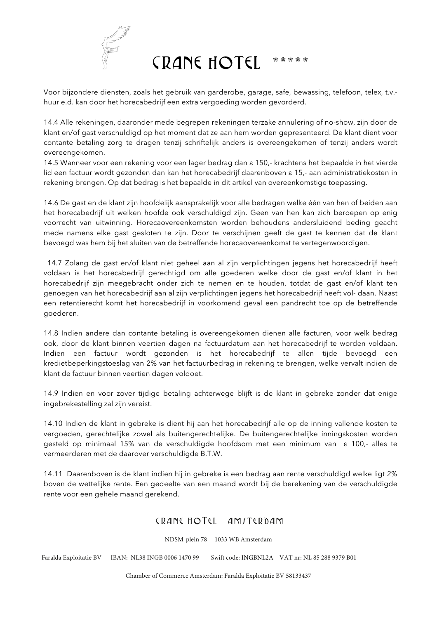

Voor bijzondere diensten, zoals het gebruik van garderobe, garage, safe, bewassing, telefoon, telex, t.v. huur e.d. kan door het horecabedrijf een extra vergoeding worden gevorderd.

14.4 Alle rekeningen, daaronder mede begrepen rekeningen terzake annulering of no-show, zijn door de klant en/of gast verschuldigd op het moment dat ze aan hem worden gepresenteerd. De klant dient voor contante betaling zorg te dragen tenzij schriftelijk anders is overeengekomen of tenzij anders wordt overeengekomen.

14.5 Wanneer voor een rekening voor een lager bedrag dan ε 150,- krachtens het bepaalde in het vierde lid een factuur wordt gezonden dan kan het horecabedrijf daarenboven ε 15,- aan administratiekosten in rekening brengen. Op dat bedrag is het bepaalde in dit artikel van overeenkomstige toepassing.

14.6 De gast en de klant zijn hoofdelijk aansprakelijk voor alle bedragen welke één van hen of beiden aan het horecabedrijf uit welken hoofde ook verschuldigd zijn. Geen van hen kan zich beroepen op enig voorrecht van uitwinning. Horecaovereenkomsten worden behoudens andersluidend beding geacht mede namens elke gast gesloten te zijn. Door te verschijnen geeft de gast te kennen dat de klant bevoegd was hem bij het sluiten van de betreffende horecaovereenkomst te vertegenwoordigen.

 14.7 Zolang de gast en/of klant niet geheel aan al zijn verplichtingen jegens het horecabedrijf heeft voldaan is het horecabedrijf gerechtigd om alle goederen welke door de gast en/of klant in het horecabedrijf zijn meegebracht onder zich te nemen en te houden, totdat de gast en/of klant ten genoegen van het horecabedrijf aan al zijn verplichtingen jegens het horecabedrijf heeft vol- daan. Naast een retentierecht komt het horecabedrijf in voorkomend geval een pandrecht toe op de betreffende goederen.

14.8 Indien andere dan contante betaling is overeengekomen dienen alle facturen, voor welk bedrag ook, door de klant binnen veertien dagen na factuurdatum aan het horecabedrijf te worden voldaan. Indien een factuur wordt gezonden is het horecabedrijf te allen tijde bevoegd een kredietbeperkingstoeslag van 2% van het factuurbedrag in rekening te brengen, welke vervalt indien de klant de factuur binnen veertien dagen voldoet.

14.9 Indien en voor zover tijdige betaling achterwege blijft is de klant in gebreke zonder dat enige ingebrekestelling zal zijn vereist.

14.10 Indien de klant in gebreke is dient hij aan het horecabedrijf alle op de inning vallende kosten te vergoeden, gerechtelijke zowel als buitengerechtelijke. De buitengerechtelijke inningskosten worden gesteld op minimaal 15% van de verschuldigde hoofdsom met een minimum van ε 100,- alles te vermeerderen met de daarover verschuldigde B.T.W.

14.11 Daarenboven is de klant indien hij in gebreke is een bedrag aan rente verschuldigd welke ligt 2% boven de wettelijke rente. Een gedeelte van een maand wordt bij de berekening van de verschuldigde rente voor een gehele maand gerekend.

# CRANE HOTEL AMITERDAM

NDSM-plein 78 1033 WB Amsterdam

Faralda Exploitatie BV IBAN: NL38 INGB 0006 1470 99 Swift code: INGBNL2A VAT nr: NL 85 288 9379 B01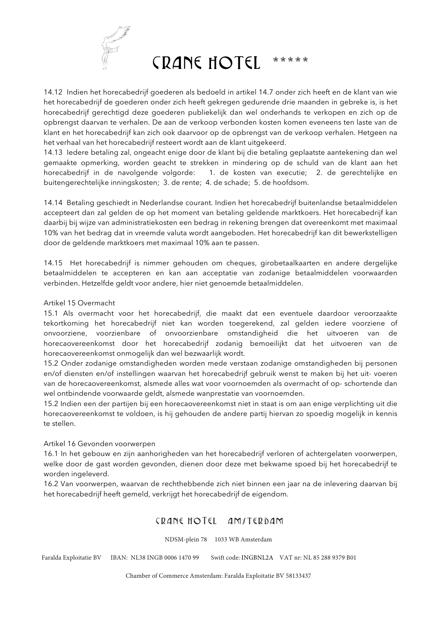

14.12 Indien het horecabedrijf goederen als bedoeld in artikel 14.7 onder zich heeft en de klant van wie het horecabedrijf de goederen onder zich heeft gekregen gedurende drie maanden in gebreke is, is het horecabedrijf gerechtigd deze goederen publiekelijk dan wel onderhands te verkopen en zich op de opbrengst daarvan te verhalen. De aan de verkoop verbonden kosten komen eveneens ten laste van de klant en het horecabedrijf kan zich ook daarvoor op de opbrengst van de verkoop verhalen. Hetgeen na het verhaal van het horecabedrijf resteert wordt aan de klant uitgekeerd.

14.13 Iedere betaling zal, ongeacht enige door de klant bij die betaling geplaatste aantekening dan wel gemaakte opmerking, worden geacht te strekken in mindering op de schuld van de klant aan het horecabedrijf in de navolgende volgorde: 1. de kosten van executie; 2. de gerechtelijke en buitengerechtelijke inningskosten; 3. de rente; 4. de schade; 5. de hoofdsom.

14.14 Betaling geschiedt in Nederlandse courant. Indien het horecabedrijf buitenlandse betaalmiddelen accepteert dan zal gelden de op het moment van betaling geldende marktkoers. Het horecabedrijf kan daarbij bij wijze van administratiekosten een bedrag in rekening brengen dat overeenkomt met maximaal 10% van het bedrag dat in vreemde valuta wordt aangeboden. Het horecabedrijf kan dit bewerkstelligen door de geldende marktkoers met maximaal 10% aan te passen.

14.15 Het horecabedrijf is nimmer gehouden om cheques, girobetaalkaarten en andere dergelijke betaalmiddelen te accepteren en kan aan acceptatie van zodanige betaalmiddelen voorwaarden verbinden. Hetzelfde geldt voor andere, hier niet genoemde betaalmiddelen.

### Artikel 15 Overmacht

15.1 Als overmacht voor het horecabedrijf, die maakt dat een eventuele daardoor veroorzaakte tekortkoming het horecabedrijf niet kan worden toegerekend, zal gelden iedere voorziene of onvoorziene, voorzienbare of onvoorzienbare omstandigheid die het uitvoeren van de horecaovereenkomst door het horecabedrijf zodanig bemoeilijkt dat het uitvoeren van de horecaovereenkomst onmogelijk dan wel bezwaarlijk wordt.

15.2 Onder zodanige omstandigheden worden mede verstaan zodanige omstandigheden bij personen en/of diensten en/of instellingen waarvan het horecabedrijf gebruik wenst te maken bij het uit- voeren van de horecaovereenkomst, alsmede alles wat voor voornoemden als overmacht of op- schortende dan wel ontbindende voorwaarde geldt, alsmede wanprestatie van voornoemden.

15.2 Indien een der partijen bij een horecaovereenkomst niet in staat is om aan enige verplichting uit die horecaovereenkomst te voldoen, is hij gehouden de andere partij hiervan zo spoedig mogelijk in kennis te stellen.

### Artikel 16 Gevonden voorwerpen

16.1 In het gebouw en zijn aanhorigheden van het horecabedrijf verloren of achtergelaten voorwerpen, welke door de gast worden gevonden, dienen door deze met bekwame spoed bij het horecabedrijf te worden ingeleverd.

16.2 Van voorwerpen, waarvan de rechthebbende zich niet binnen een jaar na de inlevering daarvan bij het horecabedrijf heeft gemeld, verkrijgt het horecabedrijf de eigendom.

# CRANE HOTEL AMITERDAM

NDSM-plein 78 1033 WB Amsterdam

Faralda Exploitatie BV IBAN: NL38 INGB 0006 1470 99 Swift code: INGBNL2A VAT nr: NL 85 288 9379 B01